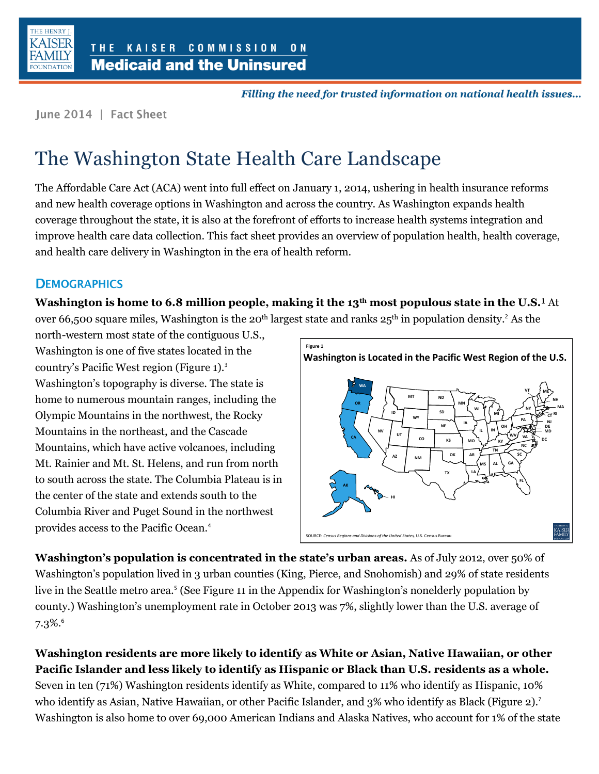

Filling the need for trusted information on national health issues...

June 2014 | Fact Sheet

# The Washington State Health Care Landscape

The Affordable Care Act (ACA) went into full effect on January 1, 2014, ushering in health insurance reforms and new health coverage options in Washington and across the country. As Washington expands health coverage throughout the state, it is also at the forefront of efforts to increase health systems integration and improve health care data collection. This fact sheet provides an overview of population health, health coverage, and health care delivery in Washington in the era of health reform.

# **DEMOGRAPHICS**

**Washington is home to 6.8 million people, making it the 13th most populous state in the U.S.** At

over 66,500 square miles, Washington is the 20<sup>th</sup> largest state and ranks 25<sup>th</sup> in population density.<sup>2</sup> As the

north-western most state of the contiguous U.S., Washington is one of five states located in the country's Pacific West region (Figure 1).<sup>3</sup> Washington's topography is diverse. The state is home to numerous mountain ranges, including the Olympic Mountains in the northwest, the Rocky Mountains in the northeast, and the Cascade Mountains, which have active volcanoes, including Mt. Rainier and Mt. St. Helens, and run from north to south across the state. The Columbia Plateau is in the center of the state and extends south to the Columbia River and Puget Sound in the northwest provides access to the Pacific Ocean.<sup>4</sup>



**Washington's population is concentrated in the state's urban areas.** As of July 2012, over 50% of Washington's population lived in 3 urban counties (King, Pierce, and Snohomish) and 29% of state residents live in the Seattle metro area.<sup>5</sup> (See Figure 11 in the Appendix for Washington's nonelderly population by county.) Washington's unemployment rate in October 2013 was 7%, slightly lower than the U.S. average of  $7.3\%$ <sup>6</sup>

**Washington residents are more likely to identify as White or Asian, Native Hawaiian, or other Pacific Islander and less likely to identify as Hispanic or Black than U.S. residents as a whole.**  Seven in ten (71%) Washington residents identify as White, compared to 11% who identify as Hispanic, 10% who identify as Asian, Native Hawaiian, or other Pacific Islander, and 3% who identify as Black (Figure 2).<sup>7</sup> Washington is also home to over 69,000 American Indians and Alaska Natives, who account for 1% of the state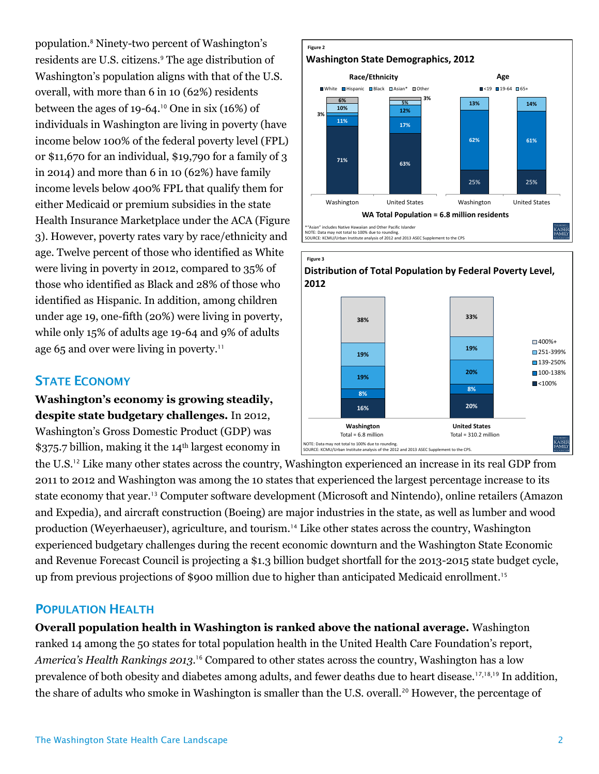population.<sup>8</sup> Ninety-two percent of Washington's residents are U.S. citizens.<sup>9</sup> The age distribution of Washington's population aligns with that of the U.S. overall, with more than 6 in 10 (62%) residents between the ages of 19-64.<sup>10</sup> One in six (16%) of individuals in Washington are living in poverty (have income below 100% of the federal poverty level (FPL) or \$11,670 for an individual, \$19,790 for a family of 3 in 2014) and more than 6 in 10 (62%) have family income levels below 400% FPL that qualify them for either Medicaid or premium subsidies in the state Health Insurance Marketplace under the ACA (Figure 3). However, poverty rates vary by race/ethnicity and age. Twelve percent of those who identified as White were living in poverty in 2012, compared to 35% of those who identified as Black and 28% of those who identified as Hispanic. In addition, among children under age 19, one-fifth (20%) were living in poverty, while only 15% of adults age 19-64 and 9% of adults age 65 and over were living in poverty.<sup>11</sup>

# **STATE ECONOMY**

**Washington's economy is growing steadily, despite state budgetary challenges.** In 2012, Washington's Gross Domestic Product (GDP) was

\$375.7 billion, making it the 14<sup>th</sup> largest economy in



## **POPULATION HEALTH**

**Overall population health in Washington is ranked above the national average.** Washington ranked 14 among the 50 states for total population health in the United Health Care Foundation's report, *America's Health Rankings 2013*. <sup>16</sup> Compared to other states across the country, Washington has a low prevalence of both obesity and diabetes among adults, and fewer deaths due to heart disease.<sup>17,18,19</sup> In addition, the share of adults who smoke in Washington is smaller than the U.S. overall.<sup>20</sup> However, the percentage of





**8%**

**20%**

**19%**

 $1400\% +$ 251-399% ■139-250% ■100-138%  $\blacksquare$  <100%

KAISER<br>FAMILY

**16% 20%**

**Washington United States**

 $Total = 6.8$  million  $Total = 310.2$  million

NOTE: Data may not total to 100% due to rounding. SOURCE: KCMU/Urban Institute analysis of the 2012 and 2013 ASEC Supplement to the CPS.

**8%**

**19%**

**19%**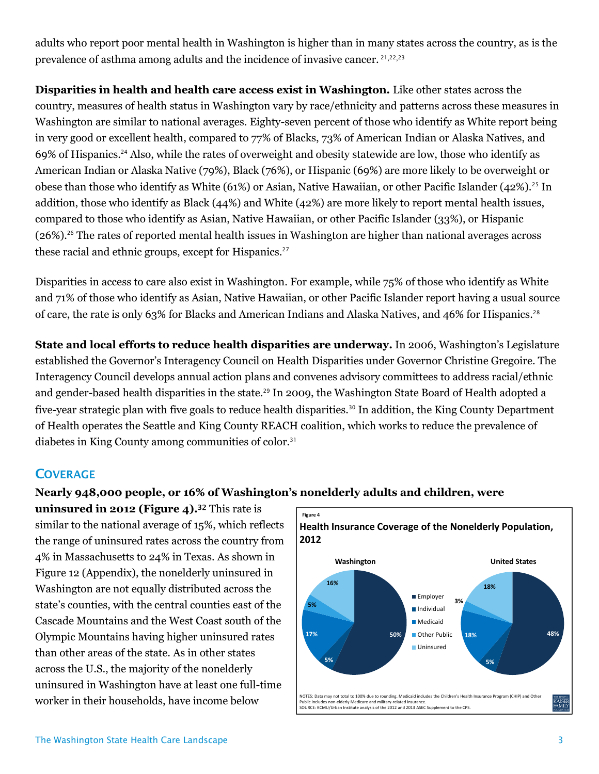adults who report poor mental health in Washington is higher than in many states across the country, as is the prevalence of asthma among adults and the incidence of invasive cancer. <sup>21</sup>,22,<sup>23</sup>

**Disparities in health and health care access exist in Washington.** Like other states across the country, measures of health status in Washington vary by race/ethnicity and patterns across these measures in Washington are similar to national averages. Eighty-seven percent of those who identify as White report being in very good or excellent health, compared to 77% of Blacks, 73% of American Indian or Alaska Natives, and 69% of Hispanics.<sup>24</sup> Also, while the rates of overweight and obesity statewide are low, those who identify as American Indian or Alaska Native (79%), Black (76%), or Hispanic (69%) are more likely to be overweight or obese than those who identify as White (61%) or Asian, Native Hawaiian, or other Pacific Islander (42%).<sup>25</sup> In addition, those who identify as Black (44%) and White (42%) are more likely to report mental health issues, compared to those who identify as Asian, Native Hawaiian, or other Pacific Islander (33%), or Hispanic (26%).<sup>26</sup> The rates of reported mental health issues in Washington are higher than national averages across these racial and ethnic groups, except for Hispanics.<sup>27</sup>

Disparities in access to care also exist in Washington. For example, while 75% of those who identify as White and 71% of those who identify as Asian, Native Hawaiian, or other Pacific Islander report having a usual source of care, the rate is only 63% for Blacks and American Indians and Alaska Natives, and 46% for Hispanics.<sup>28</sup>

**State and local efforts to reduce health disparities are underway.** In 2006, Washington's Legislature established the Governor's Interagency Council on Health Disparities under Governor Christine Gregoire. The Interagency Council develops annual action plans and convenes advisory committees to address racial/ethnic and gender-based health disparities in the state.<sup>29</sup> In 2009, the Washington State Board of Health adopted a five-year strategic plan with five goals to reduce health disparities.<sup>30</sup> In addition, the King County Department of Health operates the Seattle and King County REACH coalition, which works to reduce the prevalence of diabetes in King County among communities of color.<sup>31</sup>

# **COVERAGE**

#### **Nearly 948,000 people, or 16% of Washington's nonelderly adults and children, were**

**uninsured in 2012 (Figure 4).**<sup>32</sup> This rate is similar to the national average of 15%, which reflects the range of uninsured rates across the country from 4% in Massachusetts to 24% in Texas. As shown in Figure 12 (Appendix), the nonelderly uninsured in Washington are not equally distributed across the state's counties, with the central counties east of the Cascade Mountains and the West Coast south of the Olympic Mountains having higher uninsured rates than other areas of the state. As in other states across the U.S., the majority of the nonelderly uninsured in Washington have at least one full-time worker in their households, have income below

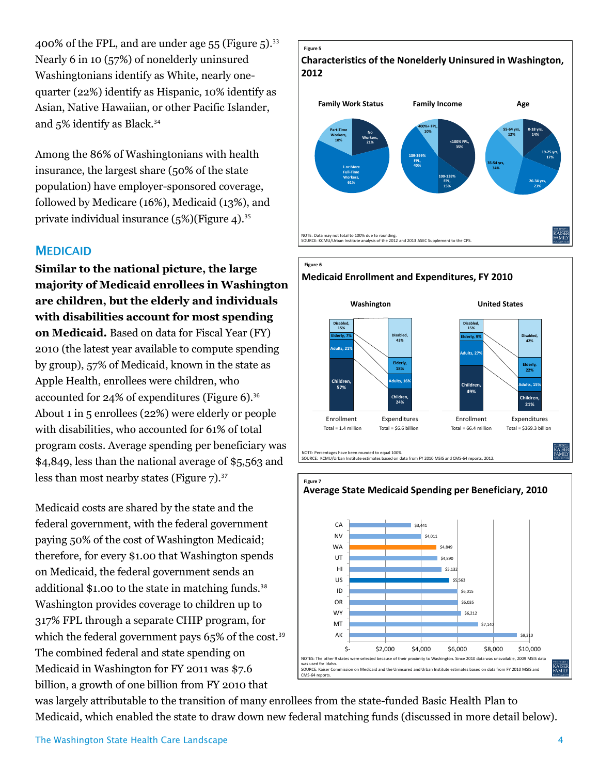400% of the FPL, and are under age  $55$  (Figure  $5$ ).<sup>33</sup> Nearly 6 in 10 (57%) of nonelderly uninsured Washingtonians identify as White, nearly onequarter (22%) identify as Hispanic, 10% identify as Asian, Native Hawaiian, or other Pacific Islander, and 5% identify as Black.<sup>34</sup>

Among the 86% of Washingtonians with health insurance, the largest share (50% of the state population) have employer-sponsored coverage, followed by Medicare (16%), Medicaid (13%), and private individual insurance  $(5\%)$  (Figure 4).<sup>35</sup>

#### **MEDICAID**

**Similar to the national picture, the large majority of Medicaid enrollees in Washington are children, but the elderly and individuals with disabilities account for most spending on Medicaid.** Based on data for Fiscal Year (FY) 2010 (the latest year available to compute spending by group), 57% of Medicaid, known in the state as Apple Health, enrollees were children, who accounted for 24% of expenditures (Figure 6).<sup>36</sup> About 1 in 5 enrollees (22%) were elderly or people with disabilities, who accounted for 61% of total program costs. Average spending per beneficiary was \$4,849, less than the national average of \$5,563 and less than most nearby states (Figure  $7$ ).<sup>37</sup>

Medicaid costs are shared by the state and the federal government, with the federal government paying 50% of the cost of Washington Medicaid; therefore, for every \$1.00 that Washington spends on Medicaid, the federal government sends an additional \$1.00 to the state in matching funds.<sup>38</sup> Washington provides coverage to children up to 317% FPL through a separate CHIP program, for which the federal government pays  $65\%$  of the cost.<sup>39</sup> The combined federal and state spending on Medicaid in Washington for FY 2011 was \$7.6 billion, a growth of one billion from FY 2010 that











was largely attributable to the transition of many enrollees from the state-funded Basic Health Plan to Medicaid, which enabled the state to draw down new federal matching funds (discussed in more detail below).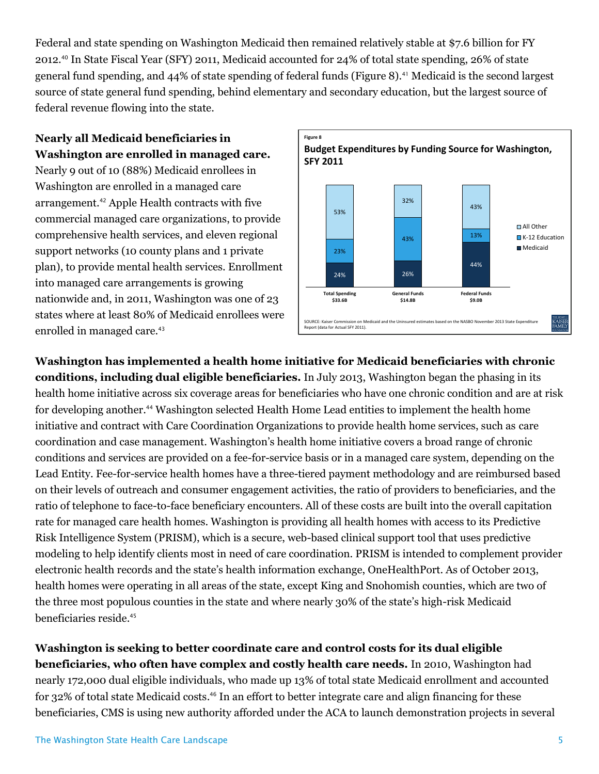Federal and state spending on Washington Medicaid then remained relatively stable at \$7.6 billion for FY 2012.<sup>40</sup> In State Fiscal Year (SFY) 2011, Medicaid accounted for 24% of total state spending, 26% of state general fund spending, and 44% of state spending of federal funds (Figure 8).<sup>41</sup> Medicaid is the second largest source of state general fund spending, behind elementary and secondary education, but the largest source of federal revenue flowing into the state.

# **Nearly all Medicaid beneficiaries in Washington are enrolled in managed care.**

Nearly 9 out of 10 (88%) Medicaid enrollees in Washington are enrolled in a managed care arrangement.<sup>42</sup> Apple Health contracts with five commercial managed care organizations, to provide comprehensive health services, and eleven regional support networks (10 county plans and 1 private plan), to provide mental health services. Enrollment into managed care arrangements is growing nationwide and, in 2011, Washington was one of 23 states where at least 80% of Medicaid enrollees were enrolled in managed care.<sup>43</sup>



**Washington has implemented a health home initiative for Medicaid beneficiaries with chronic conditions, including dual eligible beneficiaries.** In July 2013, Washington began the phasing in its health home initiative across six coverage areas for beneficiaries who have one chronic condition and are at risk for developing another.<sup>44</sup> Washington selected Health Home Lead entities to implement the health home initiative and contract with Care Coordination Organizations to provide health home services, such as care coordination and case management. Washington's health home initiative covers a broad range of chronic conditions and services are provided on a fee-for-service basis or in a managed care system, depending on the Lead Entity. Fee-for-service health homes have a three-tiered payment methodology and are reimbursed based on their levels of outreach and consumer engagement activities, the ratio of providers to beneficiaries, and the ratio of telephone to face-to-face beneficiary encounters. All of these costs are built into the overall capitation rate for managed care health homes. Washington is providing all health homes with access to its Predictive Risk Intelligence System (PRISM), which is a secure, web-based clinical support tool that uses predictive modeling to help identify clients most in need of care coordination. PRISM is intended to complement provider electronic health records and the state's health information exchange, OneHealthPort. As of October 2013, health homes were operating in all areas of the state, except King and Snohomish counties, which are two of the three most populous counties in the state and where nearly 30% of the state's high-risk Medicaid beneficiaries reside. 45

**Washington is seeking to better coordinate care and control costs for its dual eligible beneficiaries, who often have complex and costly health care needs.** In 2010, Washington had nearly 172,000 dual eligible individuals, who made up 13% of total state Medicaid enrollment and accounted for 32% of total state Medicaid costs. <sup>46</sup> In an effort to better integrate care and align financing for these beneficiaries, CMS is using new authority afforded under the ACA to launch demonstration projects in several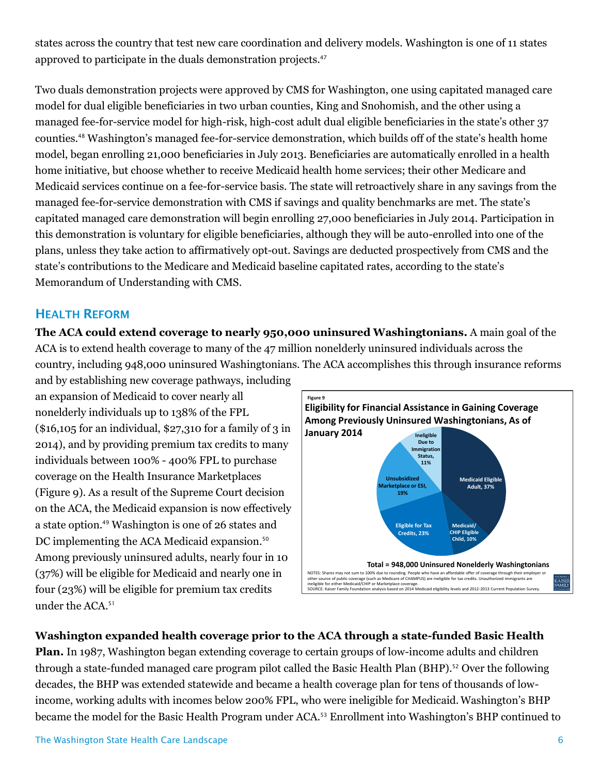states across the country that test new care coordination and delivery models. Washington is one of 11 states approved to participate in the duals demonstration projects. 47

Two duals demonstration projects were approved by CMS for Washington, one using capitated managed care model for dual eligible beneficiaries in two urban counties, King and Snohomish, and the other using a managed fee-for-service model for high-risk, high-cost adult dual eligible beneficiaries in the state's other 37 counties.<sup>48</sup> Washington's managed fee-for-service demonstration, which builds off of the state's health home model, began enrolling 21,000 beneficiaries in July 2013. Beneficiaries are automatically enrolled in a health home initiative, but choose whether to receive Medicaid health home services; their other Medicare and Medicaid services continue on a fee-for-service basis. The state will retroactively share in any savings from the managed fee-for-service demonstration with CMS if savings and quality benchmarks are met. The state's capitated managed care demonstration will begin enrolling 27,000 beneficiaries in July 2014. Participation in this demonstration is voluntary for eligible beneficiaries, although they will be auto-enrolled into one of the plans, unless they take action to affirmatively opt-out. Savings are deducted prospectively from CMS and the state's contributions to the Medicare and Medicaid baseline capitated rates, according to the state's Memorandum of Understanding with CMS.

# **HEALTH REFORM**

**The ACA could extend coverage to nearly 950,000 uninsured Washingtonians.** A main goal of the ACA is to extend health coverage to many of the 47 million nonelderly uninsured individuals across the country, including 948,000 uninsured Washingtonians. The ACA accomplishes this through insurance reforms

and by establishing new coverage pathways, including an expansion of Medicaid to cover nearly all nonelderly individuals up to 138% of the FPL  $($16,105$$  for an individual,  $$27,310$$  for a family of 3 in 2014), and by providing premium tax credits to many individuals between 100% - 400% FPL to purchase coverage on the Health Insurance Marketplaces (Figure 9). As a result of the Supreme Court decision on the ACA, the Medicaid expansion is now effectively a state option. <sup>49</sup> Washington is one of 26 states and DC implementing the ACA Medicaid expansion.<sup>50</sup> Among previously uninsured adults, nearly four in 10 (37%) will be eligible for Medicaid and nearly one in four (23%) will be eligible for premium tax credits under the ACA.<sup>51</sup>



## **Washington expanded health coverage prior to the ACA through a state-funded Basic Health**

**Plan.** In 1987, Washington began extending coverage to certain groups of low-income adults and children through a state-funded managed care program pilot called the Basic Health Plan (BHP).<sup>52</sup> Over the following decades, the BHP was extended statewide and became a health coverage plan for tens of thousands of lowincome, working adults with incomes below 200% FPL, who were ineligible for Medicaid.Washington's BHP became the model for the Basic Health Program under ACA.<sup>53</sup> Enrollment into Washington's BHP continued to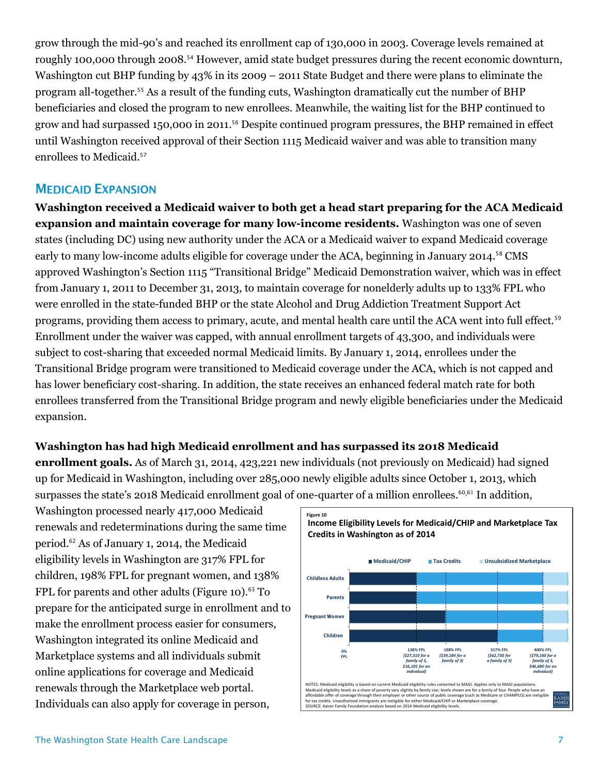grow through the mid-90's and reached its enrollment cap of 130,000 in 2003. Coverage levels remained at roughly 100,000 through 2008.<sup>54</sup> However, amid state budget pressures during the recent economic downturn, Washington cut BHP funding by 43% in its 2009 – 2011 State Budget and there were plans to eliminate the program all-together.<sup>55</sup> As a result of the funding cuts, Washington dramatically cut the number of BHP beneficiaries and closed the program to new enrollees. Meanwhile, the waiting list for the BHP continued to grow and had surpassed 150,000 in 2011. <sup>56</sup> Despite continued program pressures, the BHP remained in effect until Washington received approval of their Section 1115 Medicaid waiver and was able to transition many enrollees to Medicaid.<sup>57</sup>

## **MEDICAID EXPANSION**

**Washington received a Medicaid waiver to both get a head start preparing for the ACA Medicaid expansion and maintain coverage for many low-income residents.** Washington was one of seven states (including DC) using new authority under the ACA or a Medicaid waiver to expand Medicaid coverage early to many low-income adults eligible for coverage under the ACA, beginning in January 2014.<sup>58</sup> CMS approved Washington's Section 1115 "Transitional Bridge" Medicaid Demonstration waiver, which was in effect from January 1, 2011 to December 31, 2013, to maintain coverage for nonelderly adults up to 133% FPL who were enrolled in the state-funded BHP or the state Alcohol and Drug Addiction Treatment Support Act programs, providing them access to primary, acute, and mental health care until the ACA went into full effect.<sup>59</sup> Enrollment under the waiver was capped, with annual enrollment targets of 43,300, and individuals were subject to cost-sharing that exceeded normal Medicaid limits. By January 1, 2014, enrollees under the Transitional Bridge program were transitioned to Medicaid coverage under the ACA, which is not capped and has lower beneficiary cost-sharing. In addition, the state receives an enhanced federal match rate for both enrollees transferred from the Transitional Bridge program and newly eligible beneficiaries under the Medicaid expansion.

## **Washington has had high Medicaid enrollment and has surpassed its 2018 Medicaid**

**enrollment goals.** As of March 31, 2014, 423,221 new individuals (not previously on Medicaid) had signed up for Medicaid in Washington, including over 285,000 newly eligible adults since October 1, 2013, which surpasses the state's 2018 Medicaid enrollment goal of one-quarter of a million enrollees. <sup>60</sup>,<sup>61</sup> In addition,

Washington processed nearly 417,000 Medicaid renewals and redeterminations during the same time period.<sup>62</sup> As of January 1, 2014, the Medicaid eligibility levels in Washington are 317% FPL for children, 198% FPL for pregnant women, and 138% FPL for parents and other adults (Figure 10). $63$  To prepare for the anticipated surge in enrollment and to make the enrollment process easier for consumers, Washington integrated its online Medicaid and Marketplace systems and all individuals submit online applications for coverage and Medicaid renewals through the Marketplace web portal. Vusinington processed nearly 417,000 medicald<br>
period.<sup>62</sup> As of January 1, 2014, the Medicaid<br>
eligibility levels in Washington are 317% FPL for<br>
children, 198% FPL for pregnant women, and 138%<br>
FPL for parents and other

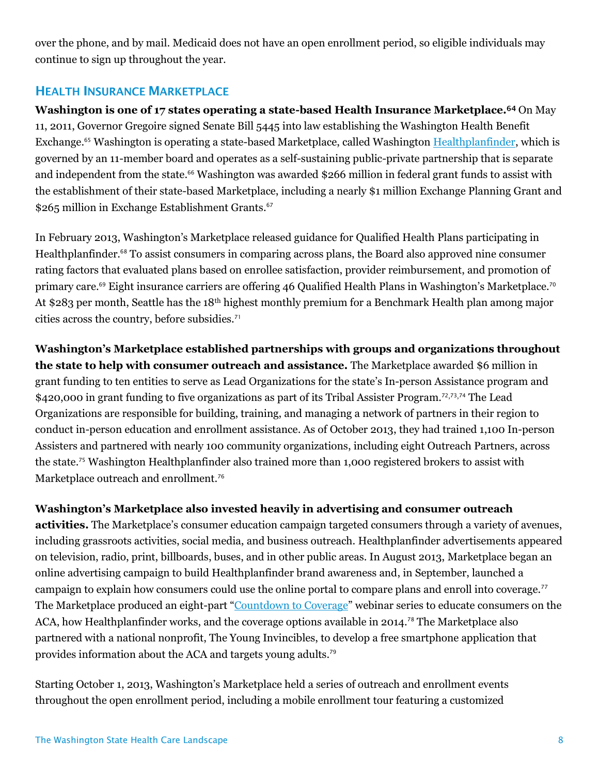over the phone, and by mail. Medicaid does not have an open enrollment period, so eligible individuals may continue to sign up throughout the year.

## **HEALTH INSURANCE MARKETPLACE**

**Washington is one of 17 states operating a state-based Health Insurance Marketplace.** <sup>64</sup> On May 11, 2011, Governor Gregoire signed Senate Bill 5445 into law establishing the Washington Health Benefit Exchange.<sup>65</sup> Washington is operating a state-based Marketplace, called Washingto[n Healthplanfinder,](https://www.wahealthplanfinder.org/) which is governed by an 11-member board and operates as a self-sustaining public-private partnership that is separate and independent from the state.<sup>66</sup> Washington was awarded \$266 million in federal grant funds to assist with the establishment of their state-based Marketplace, including a nearly \$1 million Exchange Planning Grant and \$265 million in Exchange Establishment Grants.<sup>67</sup>

In February 2013, Washington's Marketplace released guidance for Qualified Health Plans participating in Healthplanfinder.<sup>68</sup> To assist consumers in comparing across plans, the Board also approved nine consumer rating factors that evaluated plans based on enrollee satisfaction, provider reimbursement, and promotion of primary care.<sup>69</sup> Eight insurance carriers are offering 46 Qualified Health Plans in Washington's Marketplace.<sup>70</sup> At \$283 per month, Seattle has the 18th highest monthly premium for a Benchmark Health plan among major cities across the country, before subsidies.<sup>71</sup>

**Washington's Marketplace established partnerships with groups and organizations throughout the state to help with consumer outreach and assistance.** The Marketplace awarded \$6 million in grant funding to ten entities to serve as Lead Organizations for the state's In-person Assistance program and \$420,000 in grant funding to five organizations as part of its Tribal Assister Program.<sup>72,73,74</sup> The Lead Organizations are responsible for building, training, and managing a network of partners in their region to conduct in-person education and enrollment assistance. As of October 2013, they had trained 1,100 In-person Assisters and partnered with nearly 100 community organizations, including eight Outreach Partners, across the state.<sup>75</sup> Washington Healthplanfinder also trained more than 1,000 registered brokers to assist with Marketplace outreach and enrollment.<sup>76</sup>

## **Washington's Marketplace also invested heavily in advertising and consumer outreach**

**activities.** The Marketplace's consumer education campaign targeted consumers through a variety of avenues, including grassroots activities, social media, and business outreach. Healthplanfinder advertisements appeared on television, radio, print, billboards, buses, and in other public areas. In August 2013, Marketplace began an online advertising campaign to build Healthplanfinder brand awareness and, in September, launched a campaign to explain how consumers could use the online portal to compare plans and enroll into coverage.<sup>77</sup> The Marketplace produced an eight-part "[Countdown to Coverage](http://www.wahbexchange.org/news-resources/webinar-series/)" webinar series to educate consumers on the ACA, how Healthplanfinder works, and the coverage options available in 2014.<sup>78</sup> The Marketplace also partnered with a national nonprofit, The Young Invincibles, to develop a free smartphone application that provides information about the ACA and targets young adults.<sup>79</sup>

Starting October 1, 2013, Washington's Marketplace held a series of outreach and enrollment events throughout the open enrollment period, including a mobile enrollment tour featuring a customized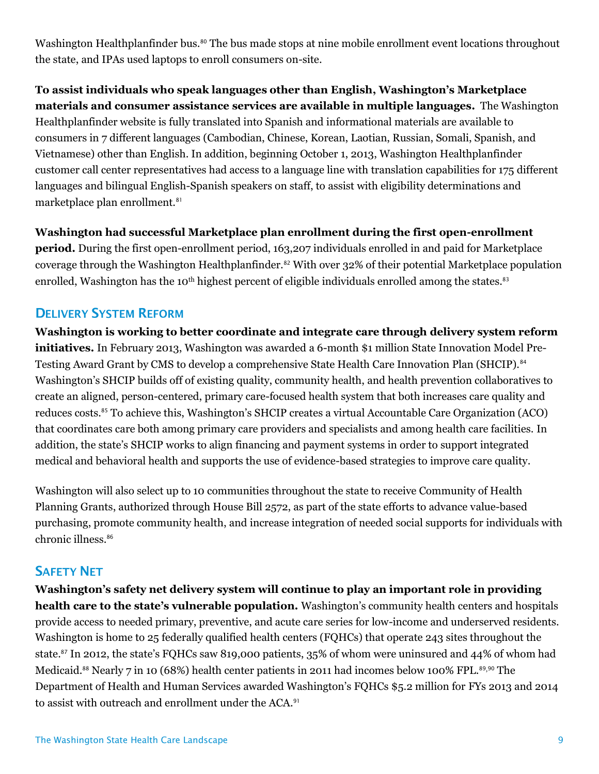Washington Healthplanfinder bus.<sup>80</sup> The bus made stops at nine mobile enrollment event locations throughout the state, and IPAs used laptops to enroll consumers on-site.

**To assist individuals who speak languages other than English, Washington's Marketplace materials and consumer assistance services are available in multiple languages.** The Washington Healthplanfinder website is fully translated into Spanish and informational materials are available to consumers in 7 different languages (Cambodian, Chinese, Korean, Laotian, Russian, Somali, Spanish, and Vietnamese) other than English. In addition, beginning October 1, 2013, Washington Healthplanfinder customer call center representatives had access to a language line with translation capabilities for 175 different languages and bilingual English-Spanish speakers on staff, to assist with eligibility determinations and marketplace plan enrollment.<sup>81</sup>

#### **Washington had successful Marketplace plan enrollment during the first open-enrollment**

**period.** During the first open-enrollment period, 163,207 individuals enrolled in and paid for Marketplace coverage through the Washington Healthplanfinder.<sup>82</sup> With over 32% of their potential Marketplace population enrolled, Washington has the 10<sup>th</sup> highest percent of eligible individuals enrolled among the states.<sup>83</sup>

## **DELIVERY SYSTEM REFORM**

**Washington is working to better coordinate and integrate care through delivery system reform initiatives.** In February 2013, Washington was awarded a 6-month \$1 million State Innovation Model Pre-Testing Award Grant by CMS to develop a comprehensive State Health Care Innovation Plan (SHCIP).<sup>84</sup> Washington's SHCIP builds off of existing quality, community health, and health prevention collaboratives to create an aligned, person-centered, primary care-focused health system that both increases care quality and reduces costs.<sup>85</sup> To achieve this, Washington's SHCIP creates a virtual Accountable Care Organization (ACO) that coordinates care both among primary care providers and specialists and among health care facilities. In addition, the state's SHCIP works to align financing and payment systems in order to support integrated medical and behavioral health and supports the use of evidence-based strategies to improve care quality.

Washington will also select up to 10 communities throughout the state to receive Community of Health Planning Grants, authorized through House Bill 2572, as part of the state efforts to advance value-based purchasing, promote community health, and increase integration of needed social supports for individuals with chronic illness.<sup>86</sup>

#### **SAFETY NET**

**Washington's safety net delivery system will continue to play an important role in providing health care to the state's vulnerable population.** Washington's community health centers and hospitals provide access to needed primary, preventive, and acute care series for low-income and underserved residents. Washington is home to 25 federally qualified health centers (FQHCs) that operate 243 sites throughout the state.<sup>87</sup> In 2012, the state's FQHCs saw 819,000 patients, 35% of whom were uninsured and 44% of whom had Medicaid.<sup>88</sup> Nearly 7 in 10 (68%) health center patients in 2011 had incomes below 100% FPL.<sup>89,90</sup> The Department of Health and Human Services awarded Washington's FQHCs \$5.2 million for FYs 2013 and 2014 to assist with outreach and enrollment under the ACA.<sup>91</sup>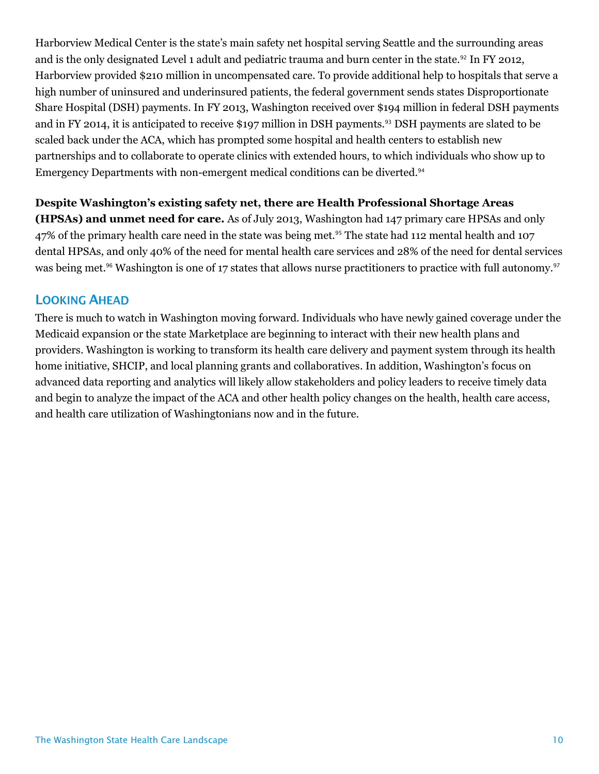Harborview Medical Center is the state's main safety net hospital serving Seattle and the surrounding areas and is the only designated Level 1 adult and pediatric trauma and burn center in the state.<sup>92</sup> In FY 2012, Harborview provided \$210 million in uncompensated care. To provide additional help to hospitals that serve a high number of uninsured and underinsured patients, the federal government sends states Disproportionate Share Hospital (DSH) payments. In FY 2013, Washington received over \$194 million in federal DSH payments and in FY 2014, it is anticipated to receive \$197 million in DSH payments.<sup>93</sup> DSH payments are slated to be scaled back under the ACA, which has prompted some hospital and health centers to establish new partnerships and to collaborate to operate clinics with extended hours, to which individuals who show up to Emergency Departments with non-emergent medical conditions can be diverted.<sup>94</sup>

#### **Despite Washington's existing safety net, there are Health Professional Shortage Areas**

**(HPSAs) and unmet need for care.** As of July 2013, Washington had 147 primary care HPSAs and only 47% of the primary health care need in the state was being met.<sup>95</sup> The state had 112 mental health and 107 dental HPSAs, and only 40% of the need for mental health care services and 28% of the need for dental services was being met.<sup>96</sup> Washington is one of 17 states that allows nurse practitioners to practice with full autonomy.<sup>97</sup>

#### **LOOKING AHEAD**

There is much to watch in Washington moving forward. Individuals who have newly gained coverage under the Medicaid expansion or the state Marketplace are beginning to interact with their new health plans and providers. Washington is working to transform its health care delivery and payment system through its health home initiative, SHCIP, and local planning grants and collaboratives. In addition, Washington's focus on advanced data reporting and analytics will likely allow stakeholders and policy leaders to receive timely data and begin to analyze the impact of the ACA and other health policy changes on the health, health care access, and health care utilization of Washingtonians now and in the future.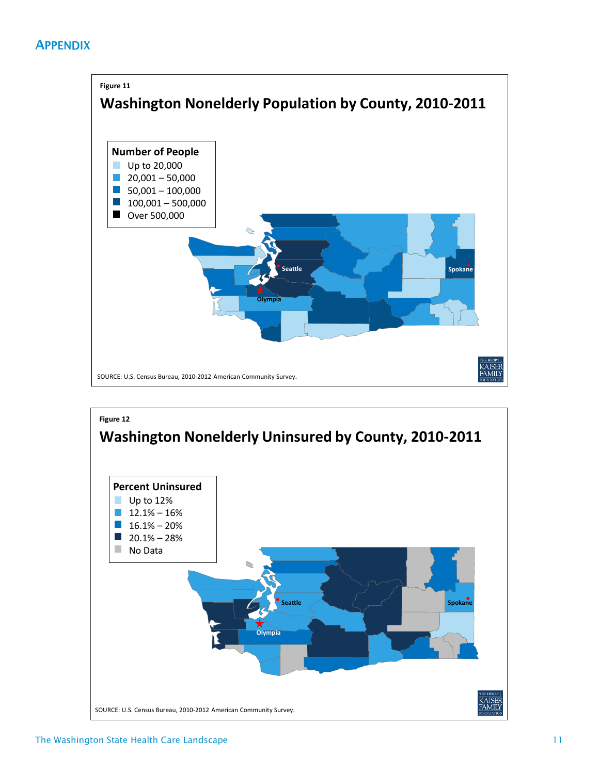# **APPENDIX**



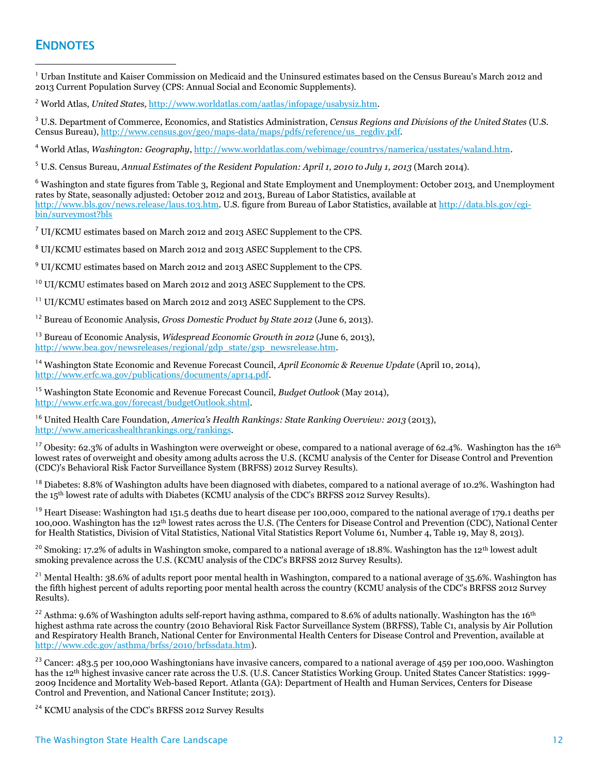## **ENDNOTES**

 $\overline{a}$ 

 $^1$  Urban Institute and Kaiser Commission on Medicaid and the Uninsured estimates based on the Census Bureau's March 2012 and 2013 Current Population Survey (CPS: Annual Social and Economic Supplements).

<sup>2</sup> World Atlas, *United States,* [http://www.worldatlas.com/aatlas/infopage/usabysiz.htm.](http://www.worldatlas.com/aatlas/infopage/usabysiz.htm)

<sup>3</sup> U.S. Department of Commerce, Economics, and Statistics Administration, *Census Regions and Divisions of the United States* (U.S. Census Bureau)[, http://www.census.gov/geo/maps-data/maps/pdfs/reference/us\\_regdiv.pdf.](http://www.census.gov/geo/maps-data/maps/pdfs/reference/us_regdiv.pdf)

<sup>4</sup> World Atlas, *Washington: Geography*[, http://www.worldatlas.com/webimage/countrys/namerica/usstates/waland.htm.](http://www.worldatlas.com/webimage/countrys/namerica/usstates/waland.htm)

<sup>5</sup> U.S. Census Bureau, *Annual Estimates of the Resident Population: April 1, 2010 to July 1, 2013* (March 2014).

<sup>6</sup> Washington and state figures from Table 3, Regional and State Employment and Unemployment: October 2013, and Unemployment rates by State, seasonally adjusted: October 2012 and 2013, Bureau of Labor Statistics, available at [http://www.bls.gov/news.release/laus.t03.htm.](http://www.bls.gov/news.release/laus.t03.htm) U.S. figure from Bureau of Labor Statistics, available at [http://data.bls.gov/cgi](http://data.bls.gov/cgi-bin/surveymost?bls)[bin/surveymost?bls](http://data.bls.gov/cgi-bin/surveymost?bls)

<sup>7</sup> UI/KCMU estimates based on March 2012 and 2013 ASEC Supplement to the CPS.

<sup>8</sup> UI/KCMU estimates based on March 2012 and 2013 ASEC Supplement to the CPS.

<sup>9</sup> UI/KCMU estimates based on March 2012 and 2013 ASEC Supplement to the CPS.

<sup>10</sup> UI/KCMU estimates based on March 2012 and 2013 ASEC Supplement to the CPS.

<sup>11</sup> UI/KCMU estimates based on March 2012 and 2013 ASEC Supplement to the CPS.

<sup>12</sup> Bureau of Economic Analysis, *Gross Domestic Product by State 2012* (June 6, 2013).

<sup>13</sup> Bureau of Economic Analysis, *Widespread Economic Growth in 2012* (June 6, 2013), [http://www.bea.gov/newsreleases/regional/gdp\\_state/gsp\\_newsrelease.htm.](http://www.bea.gov/newsreleases/regional/gdp_state/gsp_newsrelease.htm)

<sup>14</sup> Washington State Economic and Revenue Forecast Council, *April Economic & Revenue Update* (April 10, 2014), [http://www.erfc.wa.gov/publications/documents/apr14.pdf.](http://www.erfc.wa.gov/publications/documents/apr14.pdf)

<sup>15</sup> Washington State Economic and Revenue Forecast Council, *Budget Outlook* (May 2014), [http://www.erfc.wa.gov/forecast/budgetOutlook.shtml.](http://www.erfc.wa.gov/forecast/budgetOutlook.shtml)

<sup>16</sup> United Health Care Foundation, *America's Health Rankings: State Ranking Overview: 2013* (2013), [http://www.americashealthrankings.org/rankings.](http://www.americashealthrankings.org/rankings)

<sup>17</sup> Obesity: 62.3% of adults in Washington were overweight or obese, compared to a national average of 62.4%. Washington has the 16<sup>th</sup> lowest rates of overweight and obesity among adults across the U.S. (KCMU analysis of the Center for Disease Control and Prevention (CDC)'s Behavioral Risk Factor Surveillance System (BRFSS) 2012 Survey Results).

<sup>18</sup> Diabetes: 8.8% of Washington adults have been diagnosed with diabetes, compared to a national average of 10.2%. Washington had the 15th lowest rate of adults with Diabetes (KCMU analysis of the CDC's BRFSS 2012 Survey Results).

<sup>19</sup> Heart Disease: Washington had 151.5 deaths due to heart disease per 100,000, compared to the national average of 179.1 deaths per 100,000. Washington has the 12th lowest rates across the U.S. (The Centers for Disease Control and Prevention (CDC), National Center for Health Statistics, Division of Vital Statistics, National Vital Statistics Report Volume 61, Number 4, Table 19, May 8, 2013).

<sup>20</sup> Smoking: 17.2% of adults in Washington smoke, compared to a national average of 18.8%. Washington has the 12<sup>th</sup> lowest adult smoking prevalence across the U.S. (KCMU analysis of the CDC's BRFSS 2012 Survey Results).

<sup>21</sup> Mental Health: 38.6% of adults report poor mental health in Washington, compared to a national average of 35.6%. Washington has the fifth highest percent of adults reporting poor mental health across the country (KCMU analysis of the CDC's BRFSS 2012 Survey Results).

<sup>22</sup> Asthma: 9.6% of Washington adults self-report having asthma, compared to 8.6% of adults nationally. Washington has the 16<sup>th</sup> highest asthma rate across the country (2010 Behavioral Risk Factor Surveillance System (BRFSS), Table C1, analysis by Air Pollution and Respiratory Health Branch, National Center for Environmental Health Centers for Disease Control and Prevention, available at [http://www.cdc.gov/asthma/brfss/2010/brfssdata.htm\)](http://www.cdc.gov/asthma/brfss/2010/brfssdata.htm).

 $^{23}$  Cancer: 483.5 per 100,000 Washingtonians have invasive cancers, compared to a national average of 459 per 100,000. Washington has the 12<sup>th</sup> highest invasive cancer rate across the U.S. (U.S. Cancer Statistics Working Group. United States Cancer Statistics: 1999-2009 Incidence and Mortality Web-based Report. Atlanta (GA): Department of Health and Human Services, Centers for Disease Control and Prevention, and National Cancer Institute; 2013).

<sup>24</sup> KCMU analysis of the CDC's BRFSS 2012 Survey Results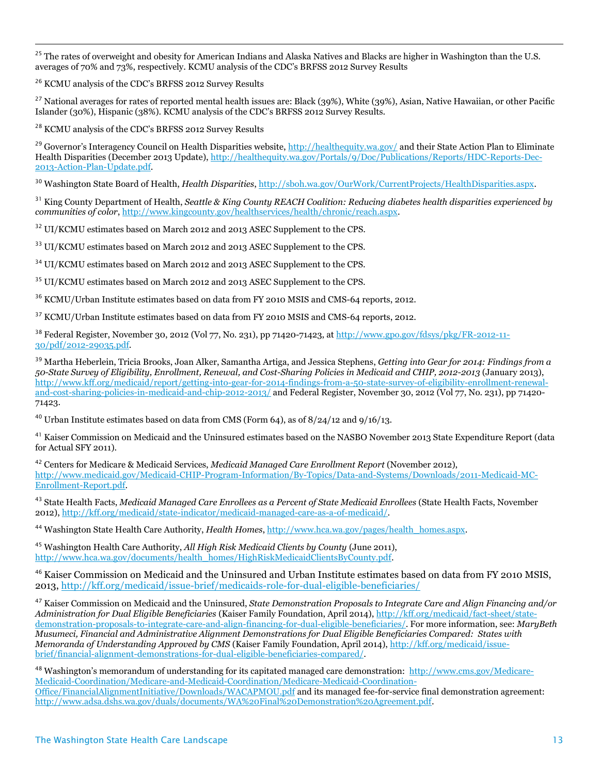<sup>25</sup> The rates of overweight and obesity for American Indians and Alaska Natives and Blacks are higher in Washington than the U.S. averages of 70% and 73%, respectively. KCMU analysis of the CDC's BRFSS 2012 Survey Results

<sup>26</sup> KCMU analysis of the CDC's BRFSS 2012 Survey Results

 $\overline{a}$ 

 $27$  National averages for rates of reported mental health issues are: Black (39%), White (39%), Asian, Native Hawaiian, or other Pacific Islander (30%), Hispanic (38%). KCMU analysis of the CDC's BRFSS 2012 Survey Results.

<sup>28</sup> KCMU analysis of the CDC's BRFSS 2012 Survey Results

<sup>29</sup> Governor's Interagency Council on Health Disparities website, <http://healthequity.wa.gov/> and their State Action Plan to Eliminate Health Disparities (December 2013 Update)[, http://healthequity.wa.gov/Portals/9/Doc/Publications/Reports/HDC-Reports-Dec-](http://healthequity.wa.gov/Portals/9/Doc/Publications/Reports/HDC-Reports-Dec-2013-Action-Plan-Update.pdf)[2013-Action-Plan-Update.pdf.](http://healthequity.wa.gov/Portals/9/Doc/Publications/Reports/HDC-Reports-Dec-2013-Action-Plan-Update.pdf)

<sup>30</sup> Washington State Board of Health, *Health Disparities*[, http://sboh.wa.gov/OurWork/CurrentProjects/HealthDisparities.aspx.](http://sboh.wa.gov/OurWork/CurrentProjects/HealthDisparities.aspx)

<sup>31</sup> King County Department of Health, *Seattle & King County REACH Coalition: Reducing diabetes health disparities experienced by communities of color*, [http://www.kingcounty.gov/healthservices/health/chronic/reach.aspx.](http://www.kingcounty.gov/healthservices/health/chronic/reach.aspx)

<sup>32</sup> UI/KCMU estimates based on March 2012 and 2013 ASEC Supplement to the CPS.

<sup>33</sup> UI/KCMU estimates based on March 2012 and 2013 ASEC Supplement to the CPS.

<sup>34</sup> UI/KCMU estimates based on March 2012 and 2013 ASEC Supplement to the CPS.

<sup>35</sup> UI/KCMU estimates based on March 2012 and 2013 ASEC Supplement to the CPS.

<sup>36</sup> KCMU/Urban Institute estimates based on data from FY 2010 MSIS and CMS-64 reports, 2012.

<sup>37</sup> KCMU/Urban Institute estimates based on data from FY 2010 MSIS and CMS-64 reports, 2012.

<sup>38</sup> Federal Register, November 30, 2012 (Vol 77, No. 231), pp 71420-71423, at [http://www.gpo.gov/fdsys/pkg/FR-2012-11-](http://www.gpo.gov/fdsys/pkg/FR-2012-11-30/pdf/2012-29035.pdf) [30/pdf/2012-29035.pdf.](http://www.gpo.gov/fdsys/pkg/FR-2012-11-30/pdf/2012-29035.pdf)

<sup>39</sup> Martha Heberlein, Tricia Brooks, Joan Alker, Samantha Artiga, and Jessica Stephens, *Getting into Gear for 2014: Findings from a 50-State Survey of Eligibility, Enrollment, Renewal, and Cost-Sharing Policies in Medicaid and CHIP, 2012-2013* (January 2013), [http://www.kff.org/medicaid/report/getting-into-gear-for-2014-findings-from-a-50-state-survey-of-eligibility-enrollment-renewal](http://www.kff.org/medicaid/report/getting-into-gear-for-2014-findings-from-a-50-state-survey-of-eligibility-enrollment-renewal-and-cost-sharing-policies-in-medicaid-and-chip-2012-2013/)[and-cost-sharing-policies-in-medicaid-and-chip-2012-2013/](http://www.kff.org/medicaid/report/getting-into-gear-for-2014-findings-from-a-50-state-survey-of-eligibility-enrollment-renewal-and-cost-sharing-policies-in-medicaid-and-chip-2012-2013/) and Federal Register, November 30, 2012 (Vol 77, No. 231), pp 71420- 71423.

<sup>40</sup> Urban Institute estimates based on data from CMS (Form 64), as of  $8/24/12$  and  $9/16/13$ .

<sup>41</sup> Kaiser Commission on Medicaid and the Uninsured estimates based on the NASBO November 2013 State Expenditure Report (data for Actual SFY 2011).

<sup>42</sup> Centers for Medicare & Medicaid Services, *Medicaid Managed Care Enrollment Report* (November 2012), [http://www.medicaid.gov/Medicaid-CHIP-Program-Information/By-Topics/Data-and-Systems/Downloads/2011-Medicaid-MC-](http://www.medicaid.gov/Medicaid-CHIP-Program-Information/By-Topics/Data-and-Systems/Downloads/2011-Medicaid-MC-Enrollment-Report.pdf)[Enrollment-Report.pdf.](http://www.medicaid.gov/Medicaid-CHIP-Program-Information/By-Topics/Data-and-Systems/Downloads/2011-Medicaid-MC-Enrollment-Report.pdf)

<sup>43</sup> State Health Facts, *Medicaid Managed Care Enrollees as a Percent of State Medicaid Enrollees* (State Health Facts, November 2012)[, http://kff.org/medicaid/state-indicator/medicaid-managed-care-as-a-of-medicaid/.](http://kff.org/medicaid/state-indicator/medicaid-managed-care-as-a-of-medicaid/) 

<sup>44</sup> Washington State Health Care Authority, *Health Homes*, [http://www.hca.wa.gov/pages/health\\_homes.aspx.](http://www.hca.wa.gov/pages/health_homes.aspx)

<sup>45</sup> Washington Health Care Authority, *All High Risk Medicaid Clients by County* (June 2011), [http://www.hca.wa.gov/documents/health\\_homes/HighRiskMedicaidClientsByCounty.pdf.](http://www.hca.wa.gov/documents/health_homes/HighRiskMedicaidClientsByCounty.pdf) 

<sup>46</sup> Kaiser Commission on Medicaid and the Uninsured and Urban Institute estimates based on data from FY 2010 MSIS, 2013[, http://kff.org/medicaid/issue-brief/medicaids-role-for-dual-eligible-beneficiaries/](http://kff.org/medicaid/issue-brief/medicaids-role-for-dual-eligible-beneficiaries/)

<sup>47</sup> Kaiser Commission on Medicaid and the Uninsured, *State Demonstration Proposals to Integrate Care and Align Financing and/or Administration for Dual Eligible Beneficiaries* (Kaiser Family Foundation, April 2014)[, http://kff.org/medicaid/fact-sheet/state](http://kff.org/medicaid/fact-sheet/state-demonstration-proposals-to-integrate-care-and-align-financing-for-dual-eligible-beneficiaries/)[demonstration-proposals-to-integrate-care-and-align-financing-for-dual-eligible-beneficiaries/.](http://kff.org/medicaid/fact-sheet/state-demonstration-proposals-to-integrate-care-and-align-financing-for-dual-eligible-beneficiaries/) For more information, see: *MaryBeth Musumeci, Financial and Administrative Alignment Demonstrations for Dual Eligible Beneficiaries Compared: States with Memoranda of Understanding Approved by CMS* (Kaiser Family Foundation, April 2014)[, http://kff.org/medicaid/issue](http://kff.org/medicaid/issue-brief/financial-alignment-demonstrations-for-dual-eligible-beneficiaries-compared/)[brief/financial-alignment-demonstrations-for-dual-eligible-beneficiaries-compared/.](http://kff.org/medicaid/issue-brief/financial-alignment-demonstrations-for-dual-eligible-beneficiaries-compared/)

<sup>48</sup> Washington's memorandum of understanding for its capitated managed care demonstration: [http://www.cms.gov/Medicare-](http://www.cms.gov/Medicare-Medicaid-Coordination/Medicare-and-Medicaid-Coordination/Medicare-Medicaid-Coordination-Office/FinancialAlignmentInitiative/Downloads/WACAPMOU.pdf)[Medicaid-Coordination/Medicare-and-Medicaid-Coordination/Medicare-Medicaid-Coordination-](http://www.cms.gov/Medicare-Medicaid-Coordination/Medicare-and-Medicaid-Coordination/Medicare-Medicaid-Coordination-Office/FinancialAlignmentInitiative/Downloads/WACAPMOU.pdf)[Office/FinancialAlignmentInitiative/Downloads/WACAPMOU.pdf](http://www.cms.gov/Medicare-Medicaid-Coordination/Medicare-and-Medicaid-Coordination/Medicare-Medicaid-Coordination-Office/FinancialAlignmentInitiative/Downloads/WACAPMOU.pdf) and its managed fee-for-service final demonstration agreement: [http://www.adsa.dshs.wa.gov/duals/documents/WA%20Final%20Demonstration%20Agreement.pdf.](http://www.adsa.dshs.wa.gov/duals/documents/WA%20Final%20Demonstration%20Agreement.pdf)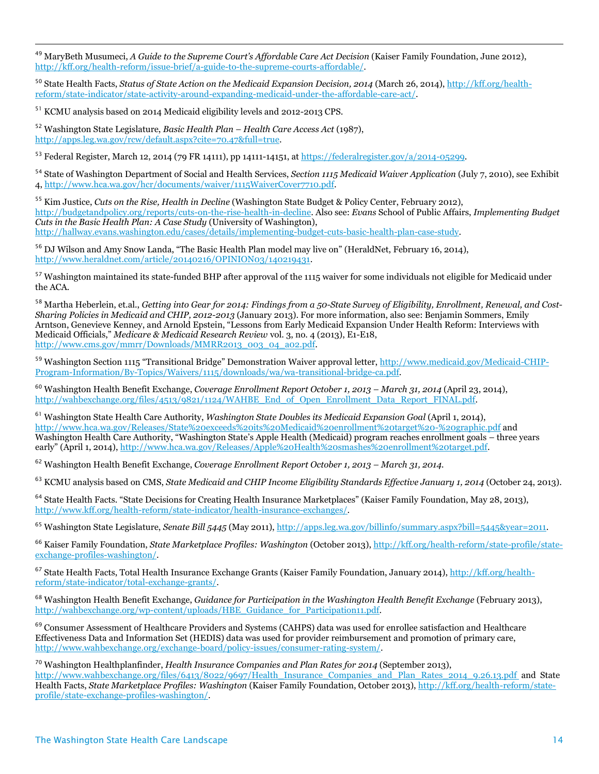<sup>49</sup> MaryBeth Musumeci, *A Guide to the Supreme Court's Affordable Care Act Decision* (Kaiser Family Foundation, June 2012), [http://kff.org/health-reform/issue-brief/a-guide-to-the-supreme-courts-affordable/.](http://kff.org/health-reform/issue-brief/a-guide-to-the-supreme-courts-affordable/)

<sup>50</sup> State Health Facts, *Status of State Action on the Medicaid Expansion Decision, 2014* (March 26, 2014), [http://kff.org/health](http://kff.org/health-reform/state-indicator/state-activity-around-expanding-medicaid-under-the-affordable-care-act/)[reform/state-indicator/state-activity-around-expanding-medicaid-under-the-affordable-care-act/.](http://kff.org/health-reform/state-indicator/state-activity-around-expanding-medicaid-under-the-affordable-care-act/)

<sup>51</sup> KCMU analysis based on 2014 Medicaid eligibility levels and 2012-2013 CPS.

 $\overline{a}$ 

<sup>52</sup> Washington State Legislature, *Basic Health Plan – Health Care Access Act* (1987), [http://apps.leg.wa.gov/rcw/default.aspx?cite=70.47&full=true.](http://apps.leg.wa.gov/rcw/default.aspx?cite=70.47&full=true)

<sup>53</sup> Federal Register, March 12, 2014 (79 FR 14111), pp 14111-14151, at [https://federalregister.gov/a/2014-05299.](https://federalregister.gov/a/2014-05299)

<sup>54</sup> State of Washington Department of Social and Health Services, *Section 1115 Medicaid Waiver Application* (July 7, 2010), see Exhibit 4[, http://www.hca.wa.gov/hcr/documents/waiver/1115WaiverCover7710.pdf.](http://www.hca.wa.gov/hcr/documents/waiver/1115WaiverCover7710.pdf)

<sup>55</sup> Kim Justice, *Cuts on the Rise, Health in Decline* (Washington State Budget & Policy Center, February 2012), [http://budgetandpolicy.org/reports/cuts-on-the-rise-health-in-decline.](http://budgetandpolicy.org/reports/cuts-on-the-rise-health-in-decline) Also see: *Evans* School of Public Affairs, *Implementing Budget Cuts in the Basic Health Plan: A Case Study* (University of Washington), [http://hallway.evans.washington.edu/cases/details/implementing-budget-cuts-basic-health-plan-case-study.](http://hallway.evans.washington.edu/cases/details/implementing-budget-cuts-basic-health-plan-case-study)

<sup>56</sup> DJ Wilson and Amy Snow Landa, "The Basic Health Plan model may live on" (HeraldNet, February 16, 2014), [http://www.heraldnet.com/article/20140216/OPINION03/140219431.](http://www.heraldnet.com/article/20140216/OPINION03/140219431)

<sup>57</sup> Washington maintained its state-funded BHP after approval of the 1115 waiver for some individuals not eligible for Medicaid under the ACA.

<sup>58</sup> Martha Heberlein, et.al., *Getting into Gear for 2014: Findings from a 50-State Survey of Eligibility, Enrollment, Renewal, and Cost-Sharing Policies in Medicaid and CHIP, 2012-2013* (January 2013). For more information, also see: Benjamin Sommers, Emily Arntson, Genevieve Kenney, and Arnold Epstein, "Lessons from Early Medicaid Expansion Under Health Reform: Interviews with Medicaid Officials," *Medicare & Medicaid Research Review* vol. 3, no. 4 (2013), E1-E18, [http://www.cms.gov/mmrr/Downloads/MMRR2013\\_003\\_04\\_a02.pdf.](http://www.cms.gov/mmrr/Downloads/MMRR2013_003_04_a02.pdf) 

<sup>59</sup> Washington Section 1115 "Transitional Bridge" Demonstration Waiver approval letter, [http://www.medicaid.gov/Medicaid-CHIP-](http://www.medicaid.gov/Medicaid-CHIP-Program-Information/By-Topics/Waivers/1115/downloads/wa/wa-transitional-bridge-ca.pdf)[Program-Information/By-Topics/Waivers/1115/downloads/wa/wa-transitional-bridge-ca.pdf.](http://www.medicaid.gov/Medicaid-CHIP-Program-Information/By-Topics/Waivers/1115/downloads/wa/wa-transitional-bridge-ca.pdf)

<sup>60</sup> Washington Health Benefit Exchange, *Coverage Enrollment Report October 1, 2013 – March 31, 2014* (April 23, 2014), [http://wahbexchange.org/files/4513/9821/1124/WAHBE\\_End\\_of\\_Open\\_Enrollment\\_Data\\_Report\\_FINAL.pdf.](http://wahbexchange.org/files/4513/9821/1124/WAHBE_End_of_Open_Enrollment_Data_Report_FINAL.pdf)

<sup>61</sup> Washington State Health Care Authority, *Washington State Doubles its Medicaid Expansion Goal* (April 1, 2014), <http://www.hca.wa.gov/Releases/State%20exceeds%20its%20Medicaid%20enrollment%20target%20-%20graphic.pdf> and Washington Health Care Authority, "Washington State's Apple Health (Medicaid) program reaches enrollment goals – three years early" (April 1, 2014), http://www.hca.wa.gov/Releases/Apple%20Health%20smashes%20enrollment%20target.pdf.

<sup>62</sup> Washington Health Benefit Exchange, *Coverage Enrollment Report October 1, 2013 – March 31, 2014.*

<sup>63</sup> KCMU analysis based on CMS, *State Medicaid and CHIP Income Eligibility Standards Effective January 1, 2014* (October 24, 2013).

<sup>64</sup> State Health Facts. "State Decisions for Creating Health Insurance Marketplaces" (Kaiser Family Foundation, May 28, 2013), [http://www.kff.org/health-reform/state-indicator/health-insurance-exchanges/.](http://www.kff.org/health-reform/state-indicator/health-insurance-exchanges/)

<sup>65</sup> Washington State Legislature, *Senate Bill 5445* (May 2011), [http://apps.leg.wa.gov/billinfo/summary.aspx?bill=5445&year=2011.](http://apps.leg.wa.gov/billinfo/summary.aspx?bill=5445&year=2011) 

<sup>66</sup> Kaiser Family Foundation, *State Marketplace Profiles: Washington* (October 2013), [http://kff.org/health-reform/state-profile/state](http://kff.org/health-reform/state-profile/state-exchange-profiles-washington/)[exchange-profiles-washington/.](http://kff.org/health-reform/state-profile/state-exchange-profiles-washington/)

<sup>67</sup> State Health Facts, Total Health Insurance Exchange Grants (Kaiser Family Foundation, January 2014), [http://kff.org/health](http://kff.org/health-reform/state-indicator/total-exchange-grants/)[reform/state-indicator/total-exchange-grants/.](http://kff.org/health-reform/state-indicator/total-exchange-grants/) 

<sup>68</sup> Washington Health Benefit Exchange, *Guidance for Participation in the Washington Health Benefit Exchange* (February 2013), [http://wahbexchange.org/wp-content/uploads/HBE\\_Guidance\\_for\\_Participation11.pdf.](http://wahbexchange.org/wp-content/uploads/HBE_Guidance_for_Participation11.pdf)

<sup>69</sup> Consumer Assessment of Healthcare Providers and Systems (CAHPS) data was used for enrollee satisfaction and Healthcare Effectiveness Data and Information Set (HEDIS) data was used for provider reimbursement and promotion of primary care, [http://www.wahbexchange.org/exchange-board/policy-issues/consumer-rating-system/.](http://www.wahbexchange.org/exchange-board/policy-issues/consumer-rating-system/)

<sup>70</sup> Washington Healthplanfinder, *Health Insurance Companies and Plan Rates for 2014* (September 2013),

[http://www.wahbexchange.org/files/6413/8022/9697/Health\\_Insurance\\_Companies\\_and\\_Plan\\_Rates\\_2014\\_9.26.13.pdf](http://www.wahbexchange.org/files/6413/8022/9697/Health_Insurance_Companies_and_Plan_Rates_2014_9.26.13.pdf) and State Health Facts, *State Marketplace Profiles: Washington* (Kaiser Family Foundation, October 2013)[, http://kff.org/health-reform/state](http://kff.org/health-reform/state-profile/state-exchange-profiles-washington/)[profile/state-exchange-profiles-washington/.](http://kff.org/health-reform/state-profile/state-exchange-profiles-washington/)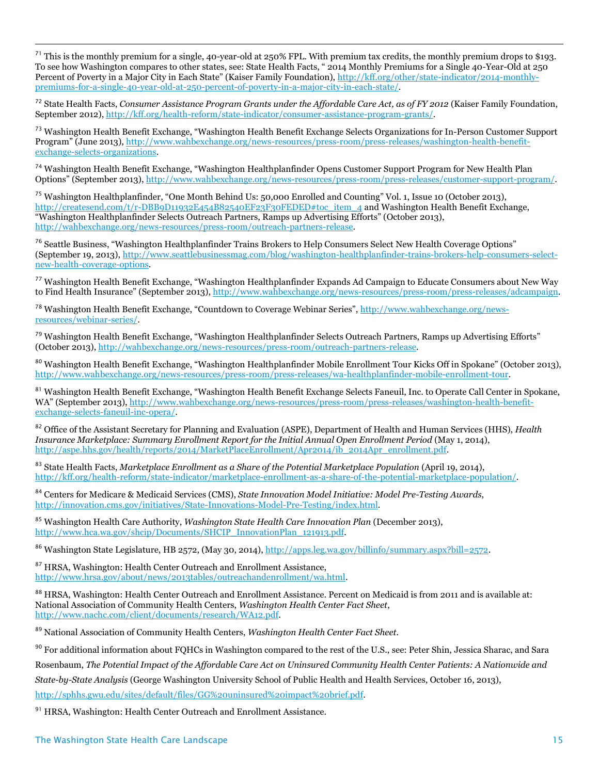<sup>71</sup> This is the monthly premium for a single, 40-year-old at 250% FPL. With premium tax credits, the monthly premium drops to \$193. To see how Washington compares to other states, see: State Health Facts, " 2014 Monthly Premiums for a Single 40-Year-Old at 250 Percent of Poverty in a Major City in Each State" (Kaiser Family Foundation), [http://kff.org/other/state-indicator/2014-monthly](http://kff.org/other/state-indicator/2014-monthly-premiums-for-a-single-40-year-old-at-250-percent-of-poverty-in-a-major-city-in-each-state/)[premiums-for-a-single-40-year-old-at-250-percent-of-poverty-in-a-major-city-in-each-state/.](http://kff.org/other/state-indicator/2014-monthly-premiums-for-a-single-40-year-old-at-250-percent-of-poverty-in-a-major-city-in-each-state/)

<sup>72</sup> State Health Facts, *Consumer Assistance Program Grants under the Affordable Care Act, as of FY 2012* (Kaiser Family Foundation, September 2012)[, http://kff.org/health-reform/state-indicator/consumer-assistance-program-grants/.](http://kff.org/health-reform/state-indicator/consumer-assistance-program-grants/)

<sup>73</sup> Washington Health Benefit Exchange, "Washington Health Benefit Exchange Selects Organizations for In-Person Customer Support Program" (June 2013), [http://www.wahbexchange.org/news-resources/press-room/press-releases/washington-health-benefit](http://www.wahbexchange.org/news-resources/press-room/press-releases/washington-health-benefit-exchange-selects-organizations)[exchange-selects-organizations.](http://www.wahbexchange.org/news-resources/press-room/press-releases/washington-health-benefit-exchange-selects-organizations)

<sup>74</sup> Washington Health Benefit Exchange, "Washington Healthplanfinder Opens Customer Support Program for New Health Plan Options" (September 2013), [http://www.wahbexchange.org/news-resources/press-room/press-releases/customer-support-program/.](http://www.wahbexchange.org/news-resources/press-room/press-releases/customer-support-program/)

<sup>75</sup> Washington Healthplanfinder, "One Month Behind Us: 50,000 Enrolled and Counting" Vol. 1, Issue 10 (October 2013), [http://createsend.com/t/r-DBB9D11932E454B82540EF23F30FEDED#toc\\_item\\_4](http://createsend.com/t/r-DBB9D11932E454B82540EF23F30FEDED#toc_item_4) and Washington Health Benefit Exchange, "Washington Healthplanfinder Selects Outreach Partners, Ramps up Advertising Efforts" (October 2013), [http://wahbexchange.org/news-resources/press-room/outreach-partners-release.](http://wahbexchange.org/news-resources/press-room/outreach-partners-release)

<sup>76</sup> Seattle Business, "Washington Healthplanfinder Trains Brokers to Help Consumers Select New Health Coverage Options" (September 19, 2013)[, http://www.seattlebusinessmag.com/blog/washington-healthplanfinder-trains-brokers-help-consumers-select](http://www.seattlebusinessmag.com/blog/washington-healthplanfinder-trains-brokers-help-consumers-select-new-health-coverage-options)[new-health-coverage-options.](http://www.seattlebusinessmag.com/blog/washington-healthplanfinder-trains-brokers-help-consumers-select-new-health-coverage-options)

<sup>77</sup> Washington Health Benefit Exchange, "Washington Healthplanfinder Expands Ad Campaign to Educate Consumers about New Way to Find Health Insurance" (September 2013), [http://www.wahbexchange.org/news-resources/press-room/press-releases/adcampaign.](http://www.wahbexchange.org/news-resources/press-room/press-releases/adcampaign)

<sup>78</sup> Washington Health Benefit Exchange, "Countdown to Coverage Webinar Series", [http://www.wahbexchange.org/news](http://www.wahbexchange.org/news-resources/webinar-series/)[resources/webinar-series/.](http://www.wahbexchange.org/news-resources/webinar-series/)

<sup>79</sup> Washington Health Benefit Exchange, "Washington Healthplanfinder Selects Outreach Partners, Ramps up Advertising Efforts" (October 2013)[, http://wahbexchange.org/news-resources/press-room/outreach-partners-release.](http://wahbexchange.org/news-resources/press-room/outreach-partners-release)

<sup>80</sup> Washington Health Benefit Exchange, "Washington Healthplanfinder Mobile Enrollment Tour Kicks Off in Spokane" (October 2013), [http://www.wahbexchange.org/news-resources/press-room/press-releases/wa-healthplanfinder-mobile-enrollment-tour.](http://www.wahbexchange.org/news-resources/press-room/press-releases/wa-healthplanfinder-mobile-enrollment-tour)

<sup>81</sup> Washington Health Benefit Exchange, "Washington Health Benefit Exchange Selects Faneuil, Inc. to Operate Call Center in Spokane, WA" (September 2013), [http://www.wahbexchange.org/news-resources/press-room/press-releases/washington-health-benefit](http://www.wahbexchange.org/news-resources/press-room/press-releases/washington-health-benefit-exchange-selects-faneuil-inc-opera/)[exchange-selects-faneuil-inc-opera/.](http://www.wahbexchange.org/news-resources/press-room/press-releases/washington-health-benefit-exchange-selects-faneuil-inc-opera/)

<sup>82</sup> Office of the Assistant Secretary for Planning and Evaluation (ASPE), Department of Health and Human Services (HHS), *Health Insurance Marketplace: Summary Enrollment Report for the Initial Annual Open Enrollment Period (May 1, 2014),* [http://aspe.hhs.gov/health/reports/2014/MarketPlaceEnrollment/Apr2014/ib\\_2014Apr\\_enrollment.pdf.](http://aspe.hhs.gov/health/reports/2014/MarketPlaceEnrollment/Apr2014/ib_2014Apr_enrollment.pdf)

<sup>83</sup> State Health Facts, *Marketplace Enrollment as a Share of the Potential Marketplace Population* (April 19, 2014), [http://kff.org/health-reform/state-indicator/marketplace-enrollment-as-a-share-of-the-potential-marketplace-population/.](http://kff.org/health-reform/state-indicator/marketplace-enrollment-as-a-share-of-the-potential-marketplace-population/)

<sup>84</sup> Centers for Medicare & Medicaid Services (CMS), *State Innovation Model Initiative: Model Pre-Testing Awards*, [http://innovation.cms.gov/initiatives/State-Innovations-Model-Pre-Testing/index.html.](http://innovation.cms.gov/initiatives/State-Innovations-Model-Pre-Testing/index.html) 

<sup>85</sup> Washington Health Care Authority, *Washington State Health Care Innovation Plan* (December 2013), [http://www.hca.wa.gov/shcip/Documents/SHCIP\\_InnovationPlan\\_121913.pdf.](http://www.hca.wa.gov/shcip/Documents/SHCIP_InnovationPlan_121913.pdf)

<sup>86</sup> Washington State Legislature, HB 2572, (May 30, 2014)[, http://apps.leg.wa.gov/billinfo/summary.aspx?bill=2572.](http://apps.leg.wa.gov/billinfo/summary.aspx?bill=2572) 

<sup>87</sup> HRSA, Washington: Health Center Outreach and Enrollment Assistance, [http://www.hrsa.gov/about/news/2013tables/outreachandenrollment/wa.html.](http://www.hrsa.gov/about/news/2013tables/outreachandenrollment/wa.html) 

88 HRSA, Washington: Health Center Outreach and Enrollment Assistance. Percent on Medicaid is from 2011 and is available at: National Association of Community Health Centers, *Washington Health Center Fact Sheet*, [http://www.nachc.com/client/documents/research/WA12.pdf.](http://www.nachc.com/client/documents/research/WA12.pdf)

<sup>89</sup> National Association of Community Health Centers, *Washington Health Center Fact Sheet.*

<sup>90</sup> For additional information about FQHCs in Washington compared to the rest of the U.S., see: Peter Shin, Jessica Sharac, and Sara Rosenbaum, *The Potential Impact of the Affordable Care Act on Uninsured Community Health Center Patients: A Nationwide and State-by-State Analysis* (George Washington University School of Public Health and Health Services, October 16, 2013), [http://sphhs.gwu.edu/sites/default/files/GG%20uninsured%20impact%20brief.pdf.](http://sphhs.gwu.edu/sites/default/files/GG%20uninsured%20impact%20brief.pdf) 

<sup>91</sup> HRSA, Washington: Health Center Outreach and Enrollment Assistance.

 $\overline{a}$